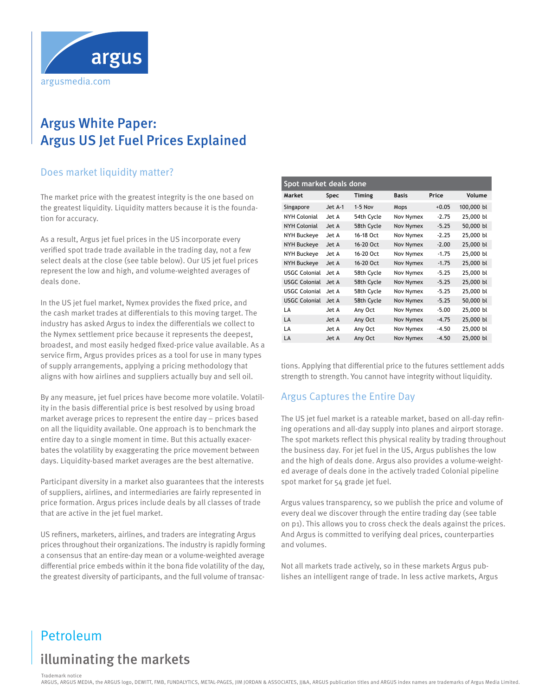

# Argus White Paper: Argus US Jet Fuel Prices Explained

## Does market liquidity matter?

The market price with the greatest integrity is the one based on the greatest liquidity. Liquidity matters because it is the foundation for accuracy.

As a result, Argus jet fuel prices in the US incorporate every verified spot trade trade available in the trading day, not a few select deals at the close (see table below). Our US jet fuel prices represent the low and high, and volume-weighted averages of deals done.

In the US jet fuel market, Nymex provides the fixed price, and the cash market trades at differentials to this moving target. The industry has asked Argus to index the differentials we collect to the Nymex settlement price because it represents the deepest, broadest, and most easily hedged fixed-price value available. As a service firm, Argus provides prices as a tool for use in many types of supply arrangements, applying a pricing methodology that aligns with how airlines and suppliers actually buy and sell oil.

By any measure, jet fuel prices have become more volatile. Volatility in the basis differential price is best resolved by using broad market average prices to represent the entire day – prices based on all the liquidity available. One approach is to benchmark the entire day to a single moment in time. But this actually exacerbates the volatility by exaggerating the price movement between days. Liquidity-based market averages are the best alternative.

Participant diversity in a market also guarantees that the interests of suppliers, airlines, and intermediaries are fairly represented in price formation. Argus prices include deals by all classes of trade that are active in the jet fuel market.

US refiners, marketers, airlines, and traders are integrating Argus prices throughout their organizations. The industry is rapidly forming a consensus that an entire-day mean or a volume-weighted average differential price embeds within it the bona fide volatility of the day, the greatest diversity of participants, and the full volume of transac-

| Spot market deals done |         |               |              |         |            |  |  |
|------------------------|---------|---------------|--------------|---------|------------|--|--|
| Market                 | Spec    | <b>Timing</b> | <b>Basis</b> | Price   | Volume     |  |  |
| Singapore              | Jet A-1 | $1-5$ Nov     | Mops         | $+0.05$ | 100,000 bl |  |  |
| NYH Colonial           | Jet A   | 54th Cycle    | Nov Nymex    | $-2.75$ | 25,000 bl  |  |  |
| NYH Colonial           | Jet A   | 58th Cycle    | Nov Nymex    | $-5.25$ | 50,000 bl  |  |  |
| NYH Buckeye            | Jet A   | 16-18 Oct     | Nov Nymex    | $-2.25$ | 25,000 bl  |  |  |
| <b>NYH Buckeye</b>     | Jet A   | 16-20 Oct     | Nov Nymex    | $-2.00$ | 25,000 bl  |  |  |
| NYH Buckeye            | Jet A   | 16-20 Oct     | Nov Nymex    | $-1.75$ | 25,000 bl  |  |  |
| NYH Buckeye            | Jet A   | 16-20 Oct     | Nov Nymex    | $-1.75$ | 25,000 bl  |  |  |
| <b>USGC Colonial</b>   | Jet A   | 58th Cycle    | Nov Nymex    | $-5.25$ | 25,000 bl  |  |  |
| <b>USGC Colonial</b>   | Jet A   | 58th Cycle    | Nov Nymex    | $-5.25$ | 25,000 bl  |  |  |
| <b>USGC Colonial</b>   | Jet A   | 58th Cycle    | Nov Nymex    | $-5.25$ | 25,000 bl  |  |  |
| <b>USGC Colonial</b>   | Jet A   | 58th Cycle    | Nov Nymex    | $-5.25$ | 50,000 bl  |  |  |
| LA                     | Jet A   | Any Oct       | Nov Nymex    | $-5.00$ | 25,000 bl  |  |  |
| LA                     | Jet A   | Any Oct       | Nov Nymex    | $-4.75$ | 25,000 bl  |  |  |
| LA                     | Jet A   | Any Oct       | Nov Nymex    | $-4.50$ | 25,000 bl  |  |  |
| LA                     | Jet A   | Any Oct       | Nov Nymex    | $-4.50$ | 25,000 bl  |  |  |

tions. Applying that differential price to the futures settlement adds strength to strength. You cannot have integrity without liquidity.

#### Argus Captures the Entire Day  $\mathfrak{g}$ us Captures the Little Day

The US jet fuel market is a rateable market, based on all-day refining operations and all-day supply into planes and airport storage. The spot markets reflect this physical reality by trading throughout the business day. For jet fuel in the US, Argus publishes the low and the high of deals done. Argus also provides a volume-weighted average of deals done in the actively traded Colonial pipeline spot market for 54 grade jet fuel.  $\mathbf{f}$ The US jet fuel market is a rateable market, based on all-

Argus values transparency, so we publish the price and volume of every deal we discover through the entire trading day (see table on p1). This allows you to cross check the deals against the prices. And Argus is committed to verifying deal prices, counterparties and volumes. We assessed at  $\sim$  $\overline{5}$ ,  $\overline{2}$ 

Not all markets trade actively, so in these markets Argus publishes an intelligent range of trade. In less active markets, Argus

# Petroleum

# illuminating the markets

Trademark notice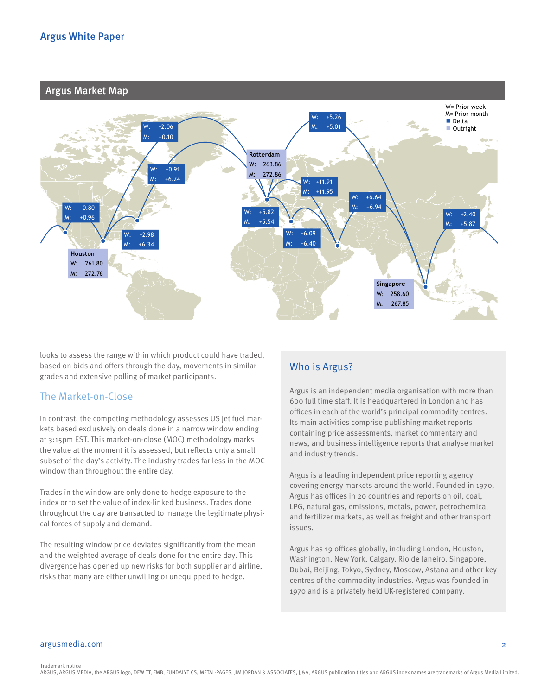#### **arguS market maP** *¢/USG* Argus Market Map



**Figure 2** and the range within which product could have traded, the spreads in  $\mathcal{L}$ /USGC Price spreads in  $\mathcal{L}$ based on bids and offers through the day, movements in similar **Prior**  grades and extensive polling of market participants. **week Prior month Prior three months** 

## The Market-on-Close

In contrast, the competing methodology assesses US jet fuel markets based exclusively on deals done in a narrow window ending at 3:15pm EST. This market-on-close (MOC) methodology marks have and business intelligance reports that analyse market the value at the moment it is assessed, but reflects only a small and industry tronds subset of the day's activity. The industry trades far less in the MOC and the MOC of the MOC of the day's activity. The industry trades far less in the MOC window than throughout the entire day. The entire day and the entire server of the entire server of the server of the server of the server of the server of the server of the server of the server of the server of the server n contrast, the competing methodology assesses US jet fuel mare the same activities comprise publishing market reports rets based exclusively on deals done in a narrow window ending the containing price assessments, market commentary and

Trades in the window are only done to hedge exposure to the index or to set the value of index-linked business. Trades done throughout the day are transacted to manage the legitimate physical forces of supply and demand.

The resulting window price deviates significantly from the mean and the weighted average of deals done for the entire day. This divergence has opened up new risks for both supplier and airline, risks that many are either unwilling or unequipped to hedge.

#### **Prior six**  Who is Argus?

Los Martin de Clares → Singapore +2.57 +18.57 +1.57 +1.57 +1.57 +10.57 +10.57 +10.57 +10.57 +18.79 +25.53 +10.57 +18.79 +10.57 +19.57 +19.57 +19.57 +19.53 +19.53 +10.57 +10.57 +10.57 +10.57 +10.57 +10.57 +10.57 +10.57 +10 Singaporte Market Gulf Cubec Handles and has a staff. It is headquartered in London and has the metal of the staff. It is headquartered in London and has offices in each of the world's principal commodity centres. news, and business intelligence reports that analyse market and industry trends.

> ording analytical and plentiful supplied in and plentiful supplied in any Argus has offices in 20 countries and reports on oil, coal, UPG, natural gas, emissions, metals, power, petrochemical and fertilizer markets, as well as freight and other transport increased liquidity seen at the weeks end. Prompt Buckeye Argus is a leading independent price reporting agency covering energy markets around the world. Founded in 1970, issues.

Argus has 19 offices globally, including London, Houston, Washington, New York, Calgary, Rio de Janeiro, Singapore, Dubai, Beijing, Tokyo, Sydney, Moscow, Astana and other key centres of the commodity industries. Argus was founded in 1970 and is a privately held UK-registered company.

### argusmedia.com 2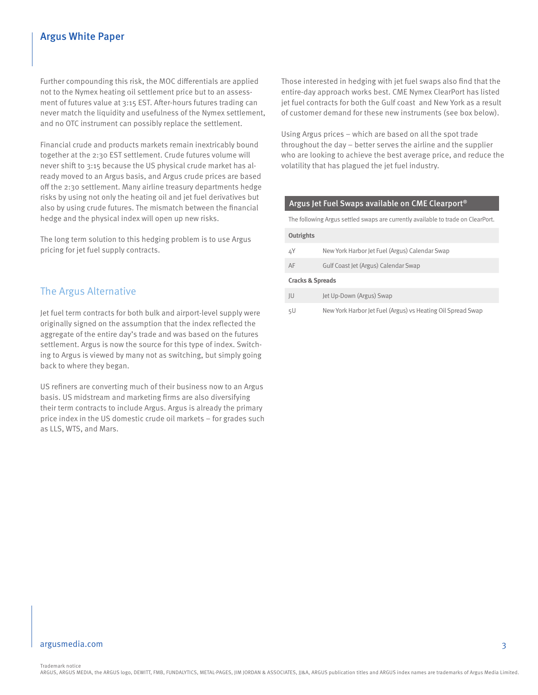### Argus White Paper

Further compounding this risk, the MOC differentials are applied not to the Nymex heating oil settlement price but to an assessment of futures value at 3:15 EST. After-hours futures trading can never match the liquidity and usefulness of the Nymex settlement, and no OTC instrument can possibly replace the settlement.

Financial crude and products markets remain inextricably bound together at the 2:30 EST settlement. Crude futures volume will never shift to 3:15 because the US physical crude market has already moved to an Argus basis, and Argus crude prices are based off the 2:30 settlement. Many airline treasury departments hedge risks by using not only the heating oil and jet fuel derivatives but also by using crude futures. The mismatch between the financial hedge and the physical index will open up new risks.

The long term solution to this hedging problem is to use Argus pricing for jet fuel supply contracts.

## The Argus Alternative

Jet fuel term contracts for both bulk and airport-level supply were originally signed on the assumption that the index reflected the aggregate of the entire day's trade and was based on the futures settlement. Argus is now the source for this type of index. Switching to Argus is viewed by many not as switching, but simply going back to where they began.

US refiners are converting much of their business now to an Argus basis. US midstream and marketing firms are also diversifying their term contracts to include Argus. Argus is already the primary price index in the US domestic crude oil markets – for grades such as LLS, WTS, and Mars.

Those interested in hedging with jet fuel swaps also find that the entire-day approach works best. CME Nymex ClearPort has listed jet fuel contracts for both the Gulf coast and New York as a result of customer demand for these new instruments (see box below).

Using Argus prices – which are based on all the spot trade throughout the day – better serves the airline and the supplier who are looking to achieve the best average price, and reduce the volatility that has plagued the jet fuel industry.

#### Argus Jet Fuel Swaps available on CME Clearport®

The following Argus settled swaps are currently available to trade on ClearPort.

#### **Outrights**

| ΔY                          | New York Harbor Jet Fuel (Argus) Calendar Swap |  |  |  |
|-----------------------------|------------------------------------------------|--|--|--|
| AF                          | Gulf Coast Jet (Argus) Calendar Swap           |  |  |  |
| <b>Cracks &amp; Spreads</b> |                                                |  |  |  |

| Jet Up-Down (Argus) Swap<br>JU |  |
|--------------------------------|--|
|--------------------------------|--|

5U New York Harbor Jet Fuel (Argus) vs Heating Oil Spread Swap

#### argusmedia.com 3